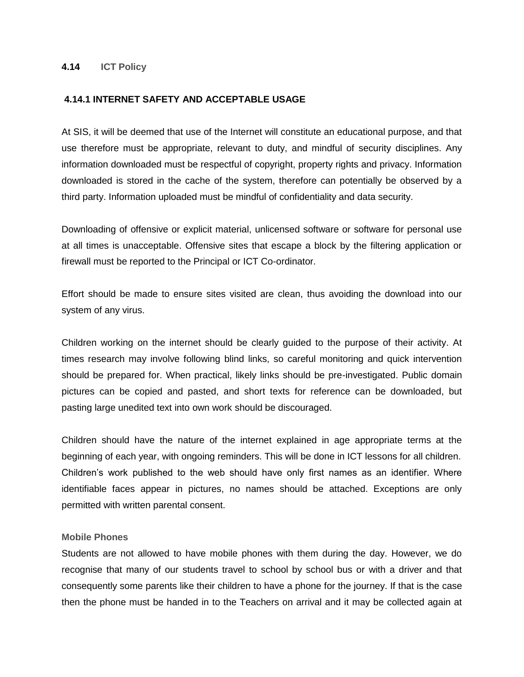## **4.14 ICT Policy**

### **4.14.1 INTERNET SAFETY AND ACCEPTABLE USAGE**

At SIS, it will be deemed that use of the Internet will constitute an educational purpose, and that use therefore must be appropriate, relevant to duty, and mindful of security disciplines. Any information downloaded must be respectful of copyright, property rights and privacy. Information downloaded is stored in the cache of the system, therefore can potentially be observed by a third party. Information uploaded must be mindful of confidentiality and data security.

Downloading of offensive or explicit material, unlicensed software or software for personal use at all times is unacceptable. Offensive sites that escape a block by the filtering application or firewall must be reported to the Principal or ICT Co-ordinator.

Effort should be made to ensure sites visited are clean, thus avoiding the download into our system of any virus.

Children working on the internet should be clearly guided to the purpose of their activity. At times research may involve following blind links, so careful monitoring and quick intervention should be prepared for. When practical, likely links should be pre-investigated. Public domain pictures can be copied and pasted, and short texts for reference can be downloaded, but pasting large unedited text into own work should be discouraged.

Children should have the nature of the internet explained in age appropriate terms at the beginning of each year, with ongoing reminders. This will be done in ICT lessons for all children. Children's work published to the web should have only first names as an identifier. Where identifiable faces appear in pictures, no names should be attached. Exceptions are only permitted with written parental consent.

#### **Mobile Phones**

Students are not allowed to have mobile phones with them during the day. However, we do recognise that many of our students travel to school by school bus or with a driver and that consequently some parents like their children to have a phone for the journey. If that is the case then the phone must be handed in to the Teachers on arrival and it may be collected again at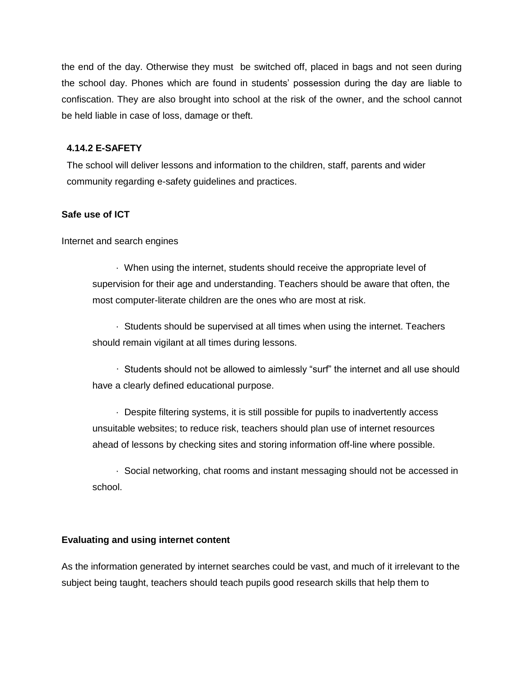the end of the day. Otherwise they must be switched off, placed in bags and not seen during the school day. Phones which are found in students' possession during the day are liable to confiscation. They are also brought into school at the risk of the owner, and the school cannot be held liable in case of loss, damage or theft.

## **4.14.2 E-SAFETY**

The school will deliver lessons and information to the children, staff, parents and wider community regarding e-safety guidelines and practices.

### **Safe use of ICT**

Internet and search engines

 · When using the internet, students should receive the appropriate level of supervision for their age and understanding. Teachers should be aware that often, the most computer-literate children are the ones who are most at risk.

 · Students should be supervised at all times when using the internet. Teachers should remain vigilant at all times during lessons.

 · Students should not be allowed to aimlessly "surf" the internet and all use should have a clearly defined educational purpose.

 · Despite filtering systems, it is still possible for pupils to inadvertently access unsuitable websites; to reduce risk, teachers should plan use of internet resources ahead of lessons by checking sites and storing information off-line where possible.

 · Social networking, chat rooms and instant messaging should not be accessed in school.

### **Evaluating and using internet content**

As the information generated by internet searches could be vast, and much of it irrelevant to the subject being taught, teachers should teach pupils good research skills that help them to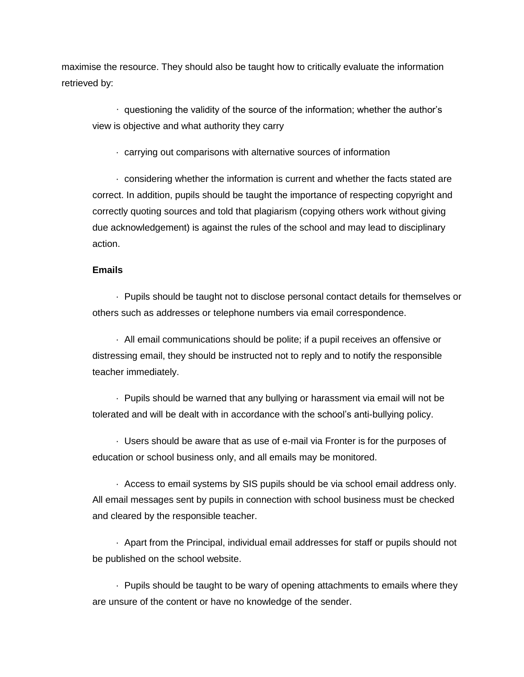maximise the resource. They should also be taught how to critically evaluate the information retrieved by:

 · questioning the validity of the source of the information; whether the author's view is objective and what authority they carry

· carrying out comparisons with alternative sources of information

 · considering whether the information is current and whether the facts stated are correct. In addition, pupils should be taught the importance of respecting copyright and correctly quoting sources and told that plagiarism (copying others work without giving due acknowledgement) is against the rules of the school and may lead to disciplinary action.

### **Emails**

 · Pupils should be taught not to disclose personal contact details for themselves or others such as addresses or telephone numbers via email correspondence.

 · All email communications should be polite; if a pupil receives an offensive or distressing email, they should be instructed not to reply and to notify the responsible teacher immediately.

 · Pupils should be warned that any bullying or harassment via email will not be tolerated and will be dealt with in accordance with the school's anti-bullying policy.

 · Users should be aware that as use of e-mail via Fronter is for the purposes of education or school business only, and all emails may be monitored.

 · Access to email systems by SIS pupils should be via school email address only. All email messages sent by pupils in connection with school business must be checked and cleared by the responsible teacher.

 · Apart from the Principal, individual email addresses for staff or pupils should not be published on the school website.

 · Pupils should be taught to be wary of opening attachments to emails where they are unsure of the content or have no knowledge of the sender.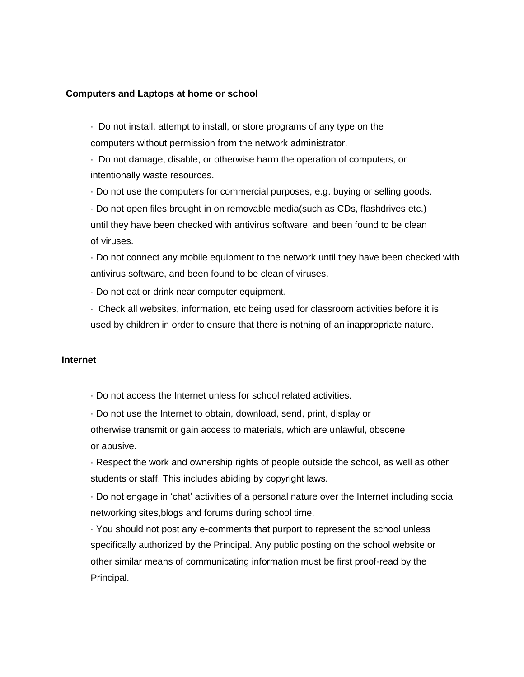#### **Computers and Laptops at home or school**

· Do not install, attempt to install, or store programs of any type on the computers without permission from the network administrator.

· Do not damage, disable, or otherwise harm the operation of computers, or intentionally waste resources.

· Do not use the computers for commercial purposes, e.g. buying or selling goods.

· Do not open files brought in on removable media(such as CDs, flashdrives etc.) until they have been checked with antivirus software, and been found to be clean of viruses.

· Do not connect any mobile equipment to the network until they have been checked with antivirus software, and been found to be clean of viruses.

· Do not eat or drink near computer equipment.

· Check all websites, information, etc being used for classroom activities before it is used by children in order to ensure that there is nothing of an inappropriate nature.

#### **Internet**

· Do not access the Internet unless for school related activities.

· Do not use the Internet to obtain, download, send, print, display or otherwise transmit or gain access to materials, which are unlawful, obscene or abusive.

· Respect the work and ownership rights of people outside the school, as well as other students or staff. This includes abiding by copyright laws.

· Do not engage in 'chat' activities of a personal nature over the Internet including social networking sites,blogs and forums during school time.

· You should not post any e-comments that purport to represent the school unless specifically authorized by the Principal. Any public posting on the school website or other similar means of communicating information must be first proof-read by the Principal.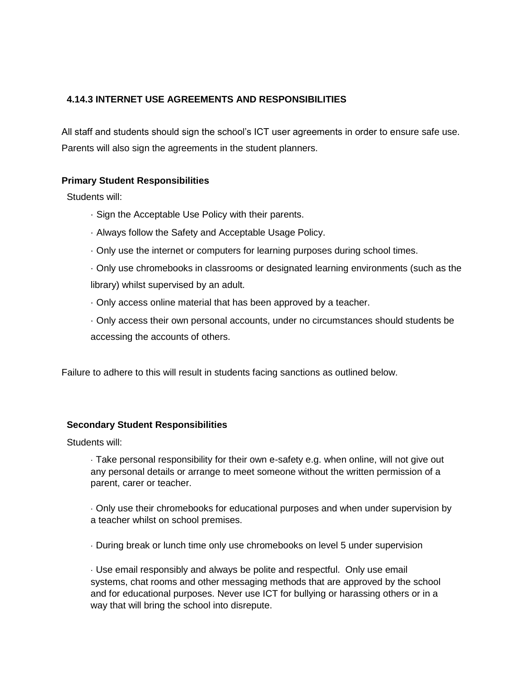# **4.14.3 INTERNET USE AGREEMENTS AND RESPONSIBILITIES**

All staff and students should sign the school's ICT user agreements in order to ensure safe use. Parents will also sign the agreements in the student planners.

# **Primary Student Responsibilities**

Students will:

- · Sign the Acceptable Use Policy with their parents.
- · Always follow the Safety and Acceptable Usage Policy.
- · Only use the internet or computers for learning purposes during school times.

· Only use chromebooks in classrooms or designated learning environments (such as the library) whilst supervised by an adult.

- · Only access online material that has been approved by a teacher.
- · Only access their own personal accounts, under no circumstances should students be accessing the accounts of others.

Failure to adhere to this will result in students facing sanctions as outlined below.

## **Secondary Student Responsibilities**

Students will:

· Take personal responsibility for their own e-safety e.g. when online, will not give out any personal details or arrange to meet someone without the written permission of a parent, carer or teacher.

· Only use their chromebooks for educational purposes and when under supervision by a teacher whilst on school premises.

· During break or lunch time only use chromebooks on level 5 under supervision

· Use email responsibly and always be polite and respectful. Only use email systems, chat rooms and other messaging methods that are approved by the school and for educational purposes. Never use ICT for bullying or harassing others or in a way that will bring the school into disrepute.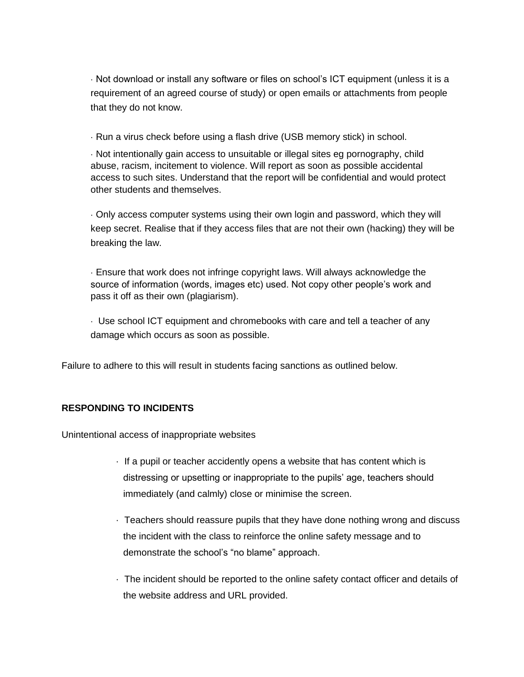· Not download or install any software or files on school's ICT equipment (unless it is a requirement of an agreed course of study) or open emails or attachments from people that they do not know.

· Run a virus check before using a flash drive (USB memory stick) in school.

· Not intentionally gain access to unsuitable or illegal sites eg pornography, child abuse, racism, incitement to violence. Will report as soon as possible accidental access to such sites. Understand that the report will be confidential and would protect other students and themselves.

· Only access computer systems using their own login and password, which they will keep secret. Realise that if they access files that are not their own (hacking) they will be breaking the law.

· Ensure that work does not infringe copyright laws. Will always acknowledge the source of information (words, images etc) used. Not copy other people's work and pass it off as their own (plagiarism).

· Use school ICT equipment and chromebooks with care and tell a teacher of any damage which occurs as soon as possible.

Failure to adhere to this will result in students facing sanctions as outlined below.

# **RESPONDING TO INCIDENTS**

Unintentional access of inappropriate websites

- · If a pupil or teacher accidently opens a website that has content which is distressing or upsetting or inappropriate to the pupils' age, teachers should immediately (and calmly) close or minimise the screen.
- · Teachers should reassure pupils that they have done nothing wrong and discuss the incident with the class to reinforce the online safety message and to demonstrate the school's "no blame" approach.
- · The incident should be reported to the online safety contact officer and details of the website address and URL provided.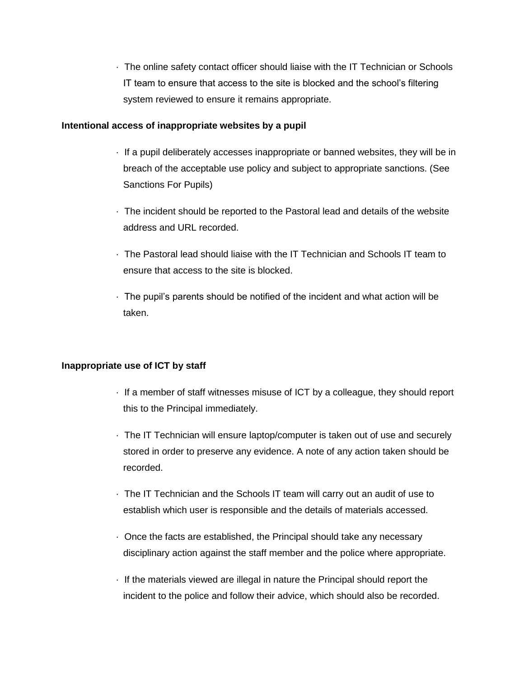· The online safety contact officer should liaise with the IT Technician or Schools IT team to ensure that access to the site is blocked and the school's filtering system reviewed to ensure it remains appropriate.

### **Intentional access of inappropriate websites by a pupil**

- · If a pupil deliberately accesses inappropriate or banned websites, they will be in breach of the acceptable use policy and subject to appropriate sanctions. (See Sanctions For Pupils)
- · The incident should be reported to the Pastoral lead and details of the website address and URL recorded.
- · The Pastoral lead should liaise with the IT Technician and Schools IT team to ensure that access to the site is blocked.
- · The pupil's parents should be notified of the incident and what action will be taken.

## **Inappropriate use of ICT by staff**

- · If a member of staff witnesses misuse of ICT by a colleague, they should report this to the Principal immediately.
- · The IT Technician will ensure laptop/computer is taken out of use and securely stored in order to preserve any evidence. A note of any action taken should be recorded.
- · The IT Technician and the Schools IT team will carry out an audit of use to establish which user is responsible and the details of materials accessed.
- · Once the facts are established, the Principal should take any necessary disciplinary action against the staff member and the police where appropriate.
- · If the materials viewed are illegal in nature the Principal should report the incident to the police and follow their advice, which should also be recorded.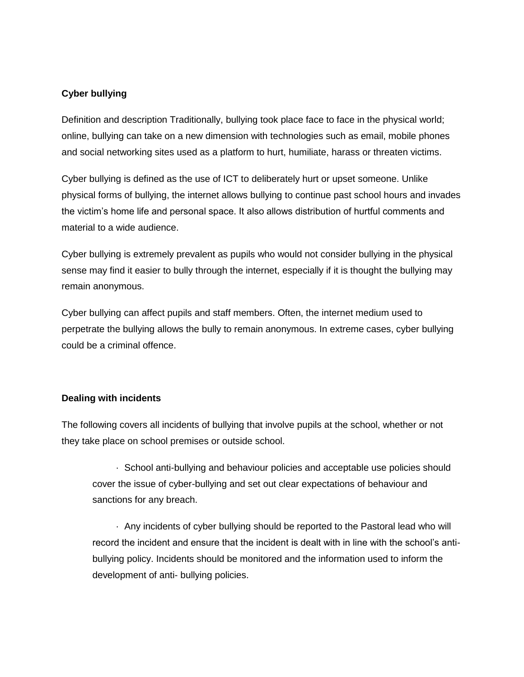# **Cyber bullying**

Definition and description Traditionally, bullying took place face to face in the physical world; online, bullying can take on a new dimension with technologies such as email, mobile phones and social networking sites used as a platform to hurt, humiliate, harass or threaten victims.

Cyber bullying is defined as the use of ICT to deliberately hurt or upset someone. Unlike physical forms of bullying, the internet allows bullying to continue past school hours and invades the victim's home life and personal space. It also allows distribution of hurtful comments and material to a wide audience.

Cyber bullying is extremely prevalent as pupils who would not consider bullying in the physical sense may find it easier to bully through the internet, especially if it is thought the bullying may remain anonymous.

Cyber bullying can affect pupils and staff members. Often, the internet medium used to perpetrate the bullying allows the bully to remain anonymous. In extreme cases, cyber bullying could be a criminal offence.

## **Dealing with incidents**

The following covers all incidents of bullying that involve pupils at the school, whether or not they take place on school premises or outside school.

 · School anti-bullying and behaviour policies and acceptable use policies should cover the issue of cyber-bullying and set out clear expectations of behaviour and sanctions for any breach.

 · Any incidents of cyber bullying should be reported to the Pastoral lead who will record the incident and ensure that the incident is dealt with in line with the school's antibullying policy. Incidents should be monitored and the information used to inform the development of anti- bullying policies.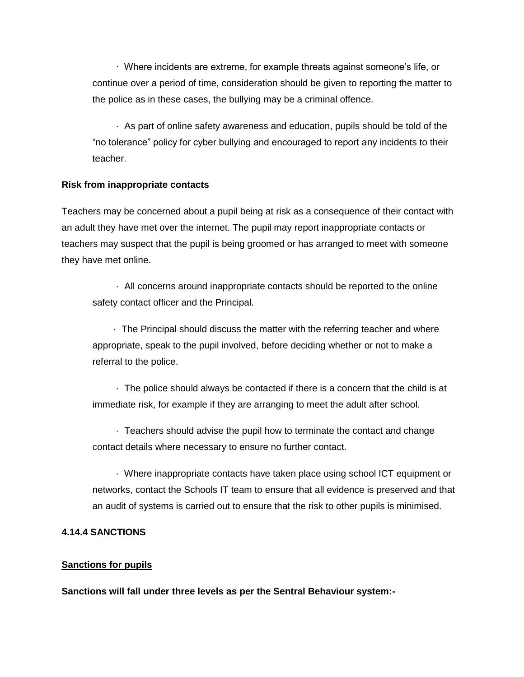· Where incidents are extreme, for example threats against someone's life, or continue over a period of time, consideration should be given to reporting the matter to the police as in these cases, the bullying may be a criminal offence.

 · As part of online safety awareness and education, pupils should be told of the "no tolerance" policy for cyber bullying and encouraged to report any incidents to their teacher.

### **Risk from inappropriate contacts**

Teachers may be concerned about a pupil being at risk as a consequence of their contact with an adult they have met over the internet. The pupil may report inappropriate contacts or teachers may suspect that the pupil is being groomed or has arranged to meet with someone they have met online.

 · All concerns around inappropriate contacts should be reported to the online safety contact officer and the Principal.

 · The Principal should discuss the matter with the referring teacher and where appropriate, speak to the pupil involved, before deciding whether or not to make a referral to the police.

 · The police should always be contacted if there is a concern that the child is at immediate risk, for example if they are arranging to meet the adult after school.

 · Teachers should advise the pupil how to terminate the contact and change contact details where necessary to ensure no further contact.

 · Where inappropriate contacts have taken place using school ICT equipment or networks, contact the Schools IT team to ensure that all evidence is preserved and that an audit of systems is carried out to ensure that the risk to other pupils is minimised.

## **4.14.4 SANCTIONS**

## **Sanctions for pupils**

**Sanctions will fall under three levels as per the Sentral Behaviour system:-**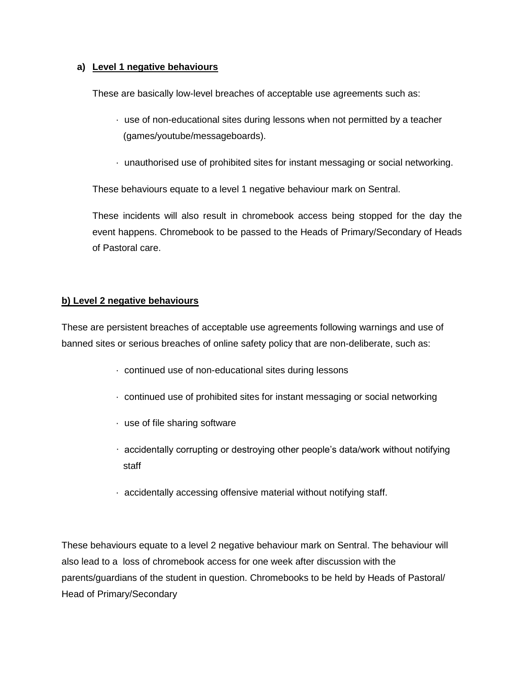# **a) Level 1 negative behaviours**

These are basically low-level breaches of acceptable use agreements such as:

- · use of non-educational sites during lessons when not permitted by a teacher (games/youtube/messageboards).
- · unauthorised use of prohibited sites for instant messaging or social networking.

These behaviours equate to a level 1 negative behaviour mark on Sentral.

These incidents will also result in chromebook access being stopped for the day the event happens. Chromebook to be passed to the Heads of Primary/Secondary of Heads of Pastoral care.

## **b) Level 2 negative behaviours**

These are persistent breaches of acceptable use agreements following warnings and use of banned sites or serious breaches of online safety policy that are non-deliberate, such as:

- · continued use of non-educational sites during lessons
- · continued use of prohibited sites for instant messaging or social networking
- · use of file sharing software
- · accidentally corrupting or destroying other people's data/work without notifying staff
- · accidentally accessing offensive material without notifying staff.

These behaviours equate to a level 2 negative behaviour mark on Sentral. The behaviour will also lead to a loss of chromebook access for one week after discussion with the parents/guardians of the student in question. Chromebooks to be held by Heads of Pastoral/ Head of Primary/Secondary